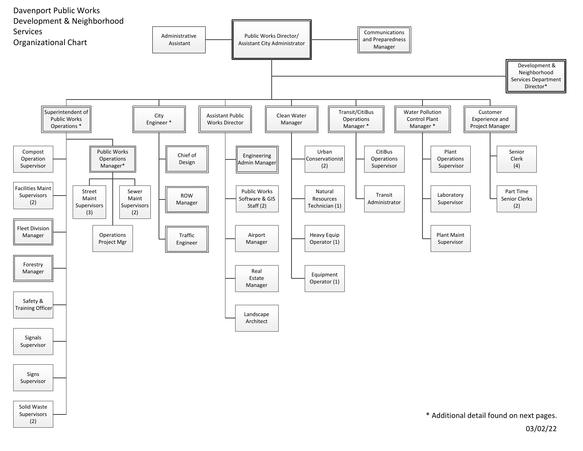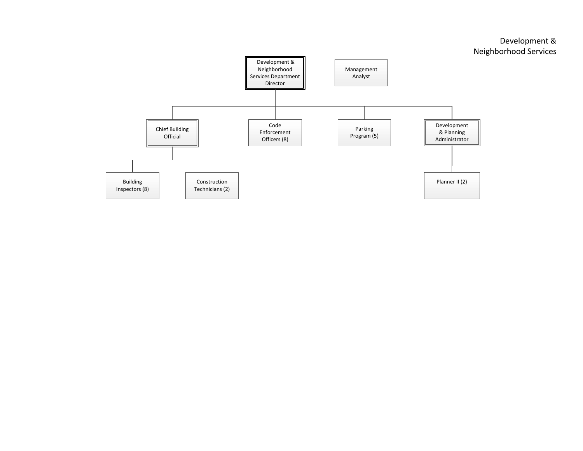## Development & Neighborhood Services

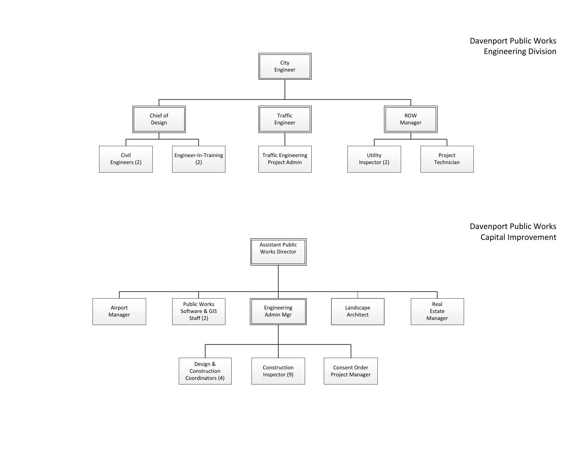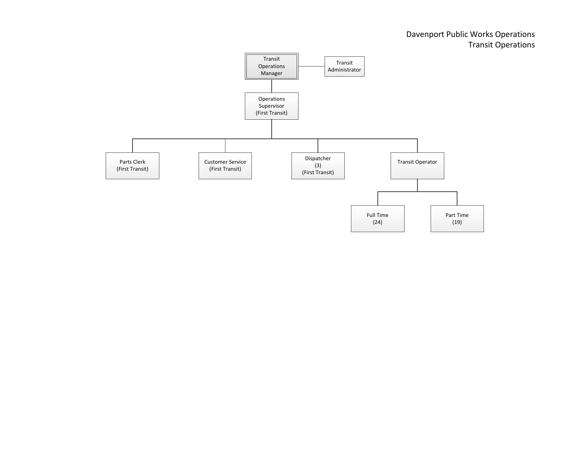## Davenport Public Works Operations Transit Operations

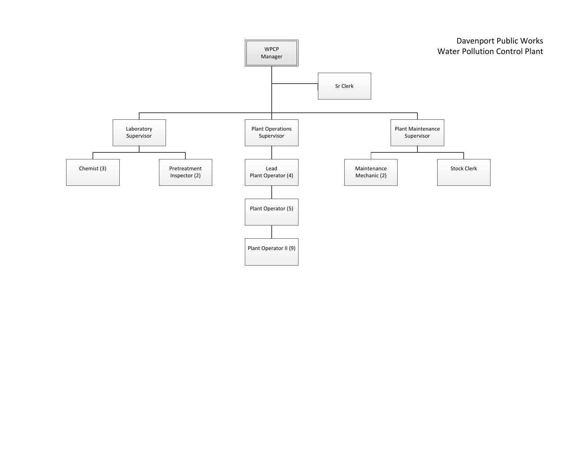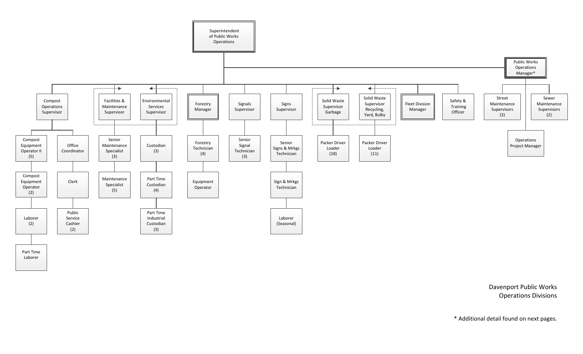

Davenport Public Works Operations Divisions

\* Additional detail found on next pages.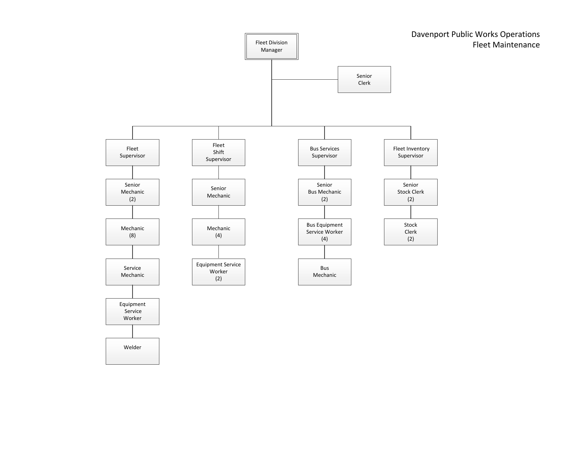